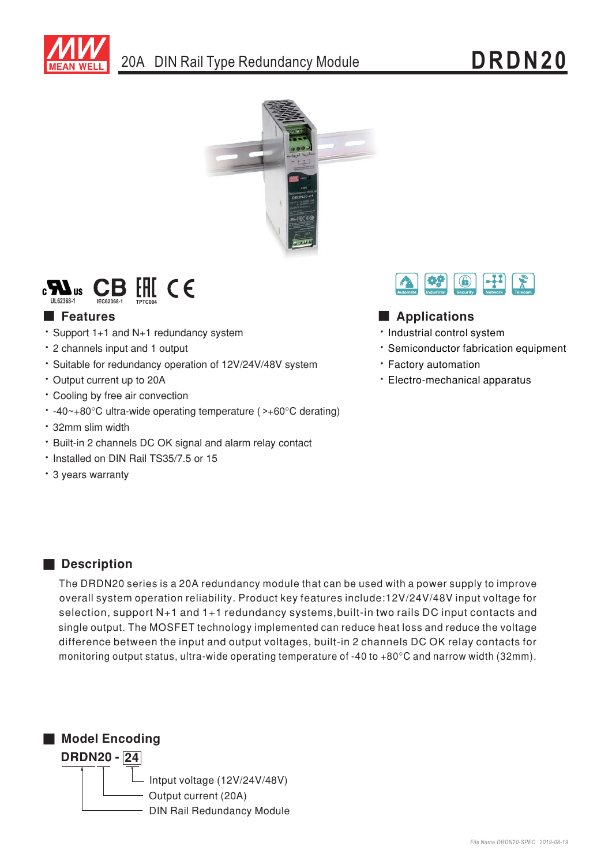





# **Executer** Features

- \* Support 1+1 and N+1 redundancy system
- \* 2 channels input and 1 output
- · Suitable for redundancy operation of 12V/24V/48V system
- Output current up to 20A
- Cooling by free air convection
- $\cdot$  -40~+80°C ultra-wide operating temperature (>+60°C derating)
- \* 32mm slim width
- · Built-in 2 channels DC OK signal and alarm relay contact
- . Installed on DIN Rail TS35/7.5 or 15
- \* 3 years warranty



## Applications

- · Industrial control system
- \* Semiconductor fabrication equipment
- · Factory automation
- Electro-mechanical apparatus

## Description

The DRDN20 series is a 20A redundancy module that can be used with a power supply to improve overall system operation reliability. Product key features include:12V/24V/48V input voltage for selection, support N+1 and 1+1 redundancy systems, built-in two rails DC input contacts and single output. The MOSFET technology implemented can reduce heat loss and reduce the voltage difference between the input and output voltages, built-in 2 channels DC OK relay contacts for monitoring output status, ultra-wide operating temperature of -40 to +80°C and narrow width (32mm).

Model Encoding

**DRDN20 - 24** 

- Intput voltage  $(12V/24V/48V)$ Output current (20A) **DIN Rail Redundancy Module**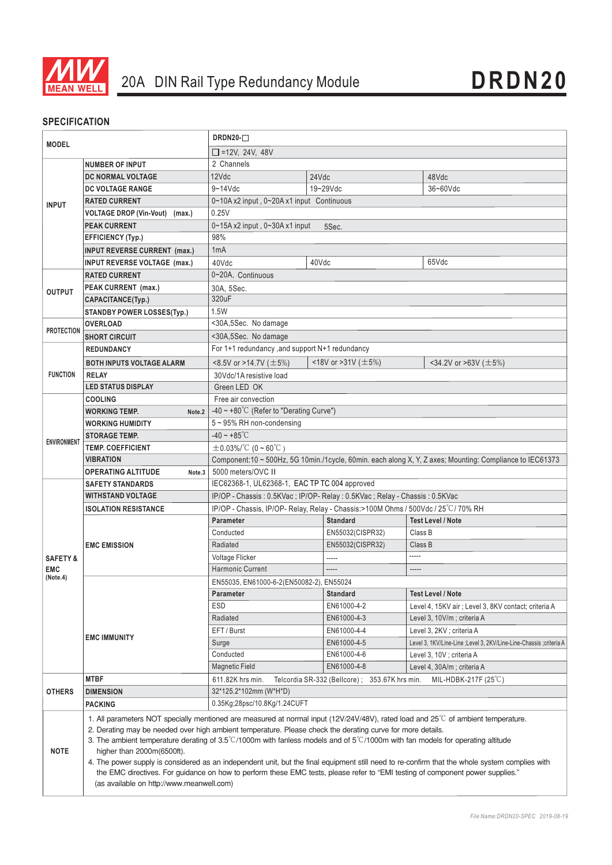

## **SPECIFICATION**

| <b>MODEL</b>           |                                                                                                                                                                                                                                                                                                                                                                                                                                                                                                                                                                                                                                                                                                                                                                      | DRDN20-Q                                                                                                 |                                                                                    |                                                                      |  |
|------------------------|----------------------------------------------------------------------------------------------------------------------------------------------------------------------------------------------------------------------------------------------------------------------------------------------------------------------------------------------------------------------------------------------------------------------------------------------------------------------------------------------------------------------------------------------------------------------------------------------------------------------------------------------------------------------------------------------------------------------------------------------------------------------|----------------------------------------------------------------------------------------------------------|------------------------------------------------------------------------------------|----------------------------------------------------------------------|--|
|                        |                                                                                                                                                                                                                                                                                                                                                                                                                                                                                                                                                                                                                                                                                                                                                                      | $\Box$ =12V, 24V, 48V                                                                                    |                                                                                    |                                                                      |  |
|                        | <b>NUMBER OF INPUT</b>                                                                                                                                                                                                                                                                                                                                                                                                                                                                                                                                                                                                                                                                                                                                               | 2 Channels                                                                                               |                                                                                    |                                                                      |  |
|                        | DC NORMAL VOLTAGE                                                                                                                                                                                                                                                                                                                                                                                                                                                                                                                                                                                                                                                                                                                                                    | 12Vdc                                                                                                    | 24Vdc                                                                              | 48Vdc                                                                |  |
|                        | <b>DC VOLTAGE RANGE</b>                                                                                                                                                                                                                                                                                                                                                                                                                                                                                                                                                                                                                                                                                                                                              | $9 - 14$ Vdc                                                                                             | 19~29Vdc                                                                           | 36~60Vdc                                                             |  |
| <b>INPUT</b>           | <b>RATED CURRENT</b>                                                                                                                                                                                                                                                                                                                                                                                                                                                                                                                                                                                                                                                                                                                                                 | 0~10A x2 input, 0~20A x1 input Continuous                                                                |                                                                                    |                                                                      |  |
|                        | <b>VOLTAGE DROP (Vin-Vout)</b><br>(max.)                                                                                                                                                                                                                                                                                                                                                                                                                                                                                                                                                                                                                                                                                                                             | 0.25V                                                                                                    |                                                                                    |                                                                      |  |
|                        | <b>PEAK CURRENT</b>                                                                                                                                                                                                                                                                                                                                                                                                                                                                                                                                                                                                                                                                                                                                                  | 0~15A x2 input, 0~30A x1 input<br>5Sec.                                                                  |                                                                                    |                                                                      |  |
|                        | <b>EFFICIENCY (Typ.)</b>                                                                                                                                                                                                                                                                                                                                                                                                                                                                                                                                                                                                                                                                                                                                             | 98%                                                                                                      |                                                                                    |                                                                      |  |
|                        | <b>INPUT REVERSE CURRENT (max.)</b>                                                                                                                                                                                                                                                                                                                                                                                                                                                                                                                                                                                                                                                                                                                                  | 1mA                                                                                                      |                                                                                    |                                                                      |  |
|                        | <b>INPUT REVERSE VOLTAGE (max.)</b>                                                                                                                                                                                                                                                                                                                                                                                                                                                                                                                                                                                                                                                                                                                                  | 40Vdc                                                                                                    | 40Vdc                                                                              | 65Vdc                                                                |  |
| <b>OUTPUT</b>          | <b>RATED CURRENT</b>                                                                                                                                                                                                                                                                                                                                                                                                                                                                                                                                                                                                                                                                                                                                                 | 0~20A, Continuous                                                                                        |                                                                                    |                                                                      |  |
|                        | PEAK CURRENT (max.)                                                                                                                                                                                                                                                                                                                                                                                                                                                                                                                                                                                                                                                                                                                                                  | 30A, 5Sec.                                                                                               |                                                                                    |                                                                      |  |
|                        | CAPACITANCE(Typ.)                                                                                                                                                                                                                                                                                                                                                                                                                                                                                                                                                                                                                                                                                                                                                    | 320uF                                                                                                    |                                                                                    |                                                                      |  |
|                        | <b>STANDBY POWER LOSSES(Typ.)</b>                                                                                                                                                                                                                                                                                                                                                                                                                                                                                                                                                                                                                                                                                                                                    | 1.5W                                                                                                     |                                                                                    |                                                                      |  |
| <b>PROTECTION</b>      | <b>OVERLOAD</b>                                                                                                                                                                                                                                                                                                                                                                                                                                                                                                                                                                                                                                                                                                                                                      | <30A,5Sec. No damage                                                                                     |                                                                                    |                                                                      |  |
|                        | <b>SHORT CIRCUIT</b>                                                                                                                                                                                                                                                                                                                                                                                                                                                                                                                                                                                                                                                                                                                                                 | <30A,5Sec. No damage                                                                                     |                                                                                    |                                                                      |  |
|                        | <b>REDUNDANCY</b>                                                                                                                                                                                                                                                                                                                                                                                                                                                                                                                                                                                                                                                                                                                                                    | For 1+1 redundancy, and support N+1 redundancy                                                           |                                                                                    |                                                                      |  |
|                        | <b>BOTH INPUTS VOLTAGE ALARM</b>                                                                                                                                                                                                                                                                                                                                                                                                                                                                                                                                                                                                                                                                                                                                     | <18V or >31V ( $\pm$ 5%)<br><8.5V or >14.7V ( $\pm$ 5%)<br>$\leq$ 34.2V or $\geq$ 63V ( $\pm$ 5%)        |                                                                                    |                                                                      |  |
| <b>FUNCTION</b>        | <b>RELAY</b>                                                                                                                                                                                                                                                                                                                                                                                                                                                                                                                                                                                                                                                                                                                                                         | 30Vdc/1A resistive load                                                                                  |                                                                                    |                                                                      |  |
|                        | <b>LED STATUS DISPLAY</b>                                                                                                                                                                                                                                                                                                                                                                                                                                                                                                                                                                                                                                                                                                                                            | Green LED OK                                                                                             |                                                                                    |                                                                      |  |
|                        | <b>COOLING</b>                                                                                                                                                                                                                                                                                                                                                                                                                                                                                                                                                                                                                                                                                                                                                       | Free air convection                                                                                      |                                                                                    |                                                                      |  |
|                        | <b>WORKING TEMP.</b><br>Note.2                                                                                                                                                                                                                                                                                                                                                                                                                                                                                                                                                                                                                                                                                                                                       | -40 ~ +80 $^{\circ}$ C (Refer to "Derating Curve")                                                       |                                                                                    |                                                                      |  |
|                        | <b>WORKING HUMIDITY</b>                                                                                                                                                                                                                                                                                                                                                                                                                                                                                                                                                                                                                                                                                                                                              | 5~95% RH non-condensing                                                                                  |                                                                                    |                                                                      |  |
|                        | <b>STORAGE TEMP.</b>                                                                                                                                                                                                                                                                                                                                                                                                                                                                                                                                                                                                                                                                                                                                                 | $-40 - +85^{\circ}C$                                                                                     |                                                                                    |                                                                      |  |
| <b>ENVIRONMENT</b>     | <b>TEMP. COEFFICIENT</b>                                                                                                                                                                                                                                                                                                                                                                                                                                                                                                                                                                                                                                                                                                                                             | $\pm$ 0.03%/°C (0~60°C)                                                                                  |                                                                                    |                                                                      |  |
|                        | <b>VIBRATION</b>                                                                                                                                                                                                                                                                                                                                                                                                                                                                                                                                                                                                                                                                                                                                                     | Component:10 ~ 500Hz, 5G 10min./1cycle, 60min. each along X, Y, Z axes; Mounting: Compliance to IEC61373 |                                                                                    |                                                                      |  |
|                        | <b>OPERATING ALTITUDE</b><br>Note.3                                                                                                                                                                                                                                                                                                                                                                                                                                                                                                                                                                                                                                                                                                                                  | 5000 meters/OVC II                                                                                       |                                                                                    |                                                                      |  |
|                        | <b>SAFETY STANDARDS</b>                                                                                                                                                                                                                                                                                                                                                                                                                                                                                                                                                                                                                                                                                                                                              | IEC62368-1, UL62368-1, EAC TP TC 004 approved                                                            |                                                                                    |                                                                      |  |
|                        | <b>WITHSTAND VOLTAGE</b>                                                                                                                                                                                                                                                                                                                                                                                                                                                                                                                                                                                                                                                                                                                                             | IP/OP - Chassis: 0.5KVac; IP/OP- Relay: 0.5KVac; Relay - Chassis: 0.5KVac                                |                                                                                    |                                                                      |  |
|                        | <b>ISOLATION RESISTANCE</b>                                                                                                                                                                                                                                                                                                                                                                                                                                                                                                                                                                                                                                                                                                                                          |                                                                                                          | IP/OP - Chassis, IP/OP- Relay, Relay - Chassis: > 100M Ohms / 500Vdc / 25°C/70% RH |                                                                      |  |
|                        |                                                                                                                                                                                                                                                                                                                                                                                                                                                                                                                                                                                                                                                                                                                                                                      | <b>Parameter</b>                                                                                         | <b>Standard</b>                                                                    | <b>Test Level / Note</b>                                             |  |
|                        |                                                                                                                                                                                                                                                                                                                                                                                                                                                                                                                                                                                                                                                                                                                                                                      | Conducted                                                                                                | EN55032(CISPR32)                                                                   | Class B                                                              |  |
|                        | <b>EMC EMISSION</b>                                                                                                                                                                                                                                                                                                                                                                                                                                                                                                                                                                                                                                                                                                                                                  | Radiated                                                                                                 | EN55032(CISPR32)                                                                   | Class B                                                              |  |
| <b>SAFETY &amp;</b>    |                                                                                                                                                                                                                                                                                                                                                                                                                                                                                                                                                                                                                                                                                                                                                                      | Voltage Flicker                                                                                          | -----                                                                              | -----                                                                |  |
| <b>EMC</b><br>(Note.4) |                                                                                                                                                                                                                                                                                                                                                                                                                                                                                                                                                                                                                                                                                                                                                                      | <b>Harmonic Current</b>                                                                                  |                                                                                    | -----                                                                |  |
|                        |                                                                                                                                                                                                                                                                                                                                                                                                                                                                                                                                                                                                                                                                                                                                                                      | EN55035, EN61000-6-2(EN50082-2), EN55024                                                                 |                                                                                    |                                                                      |  |
|                        |                                                                                                                                                                                                                                                                                                                                                                                                                                                                                                                                                                                                                                                                                                                                                                      | <b>Parameter</b>                                                                                         | <b>Standard</b>                                                                    | <b>Test Level / Note</b>                                             |  |
|                        |                                                                                                                                                                                                                                                                                                                                                                                                                                                                                                                                                                                                                                                                                                                                                                      | <b>ESD</b>                                                                                               | EN61000-4-2                                                                        | Level 4, 15KV air ; Level 3, 8KV contact; criteria A                 |  |
|                        | <b>EMC IMMUNITY</b>                                                                                                                                                                                                                                                                                                                                                                                                                                                                                                                                                                                                                                                                                                                                                  | Radiated                                                                                                 | EN61000-4-3                                                                        | Level 3, 10V/m; criteria A                                           |  |
|                        |                                                                                                                                                                                                                                                                                                                                                                                                                                                                                                                                                                                                                                                                                                                                                                      | EFT / Burst                                                                                              | EN61000-4-4                                                                        | Level 3, 2KV ; criteria A                                            |  |
|                        |                                                                                                                                                                                                                                                                                                                                                                                                                                                                                                                                                                                                                                                                                                                                                                      | Surge                                                                                                    | EN61000-4-5                                                                        | Level 3, 1KV/Line-Line ; Level 3, 2KV/Line-Line-Chassis ; criteria A |  |
|                        |                                                                                                                                                                                                                                                                                                                                                                                                                                                                                                                                                                                                                                                                                                                                                                      | Conducted                                                                                                | EN61000-4-6                                                                        | Level 3, 10V ; criteria A                                            |  |
|                        |                                                                                                                                                                                                                                                                                                                                                                                                                                                                                                                                                                                                                                                                                                                                                                      | <b>Magnetic Field</b>                                                                                    | EN61000-4-8                                                                        | Level 4, 30A/m; criteria A                                           |  |
|                        | <b>MTBF</b>                                                                                                                                                                                                                                                                                                                                                                                                                                                                                                                                                                                                                                                                                                                                                          | 611.82K hrs min.                                                                                         | Telcordia SR-332 (Bellcore); 353.67K hrs min.                                      | MIL-HDBK-217F $(25^{\circ}C)$                                        |  |
| <b>OTHERS</b>          | <b>DIMENSION</b>                                                                                                                                                                                                                                                                                                                                                                                                                                                                                                                                                                                                                                                                                                                                                     | 32*125.2*102mm (W*H*D)                                                                                   |                                                                                    |                                                                      |  |
|                        | <b>PACKING</b>                                                                                                                                                                                                                                                                                                                                                                                                                                                                                                                                                                                                                                                                                                                                                       | 0.35Kg;28psc/10.8Kg/1.24CUFT                                                                             |                                                                                    |                                                                      |  |
| <b>NOTE</b>            | 1. All parameters NOT specially mentioned are measured at normal input (12V/24V/48V), rated load and 25°C of ambient temperature.<br>2. Derating may be needed over high ambient temperature. Please check the derating curve for more details.<br>3. The ambient temperature derating of $3.5^{\circ}$ C/1000m with fanless models and of $5^{\circ}$ C/1000m with fan models for operating altitude<br>higher than 2000m(6500ft).<br>4. The power supply is considered as an independent unit, but the final equipment still need to re-confirm that the whole system complies with<br>the EMC directives. For guidance on how to perform these EMC tests, please refer to "EMI testing of component power supplies."<br>(as available on http://www.meanwell.com) |                                                                                                          |                                                                                    |                                                                      |  |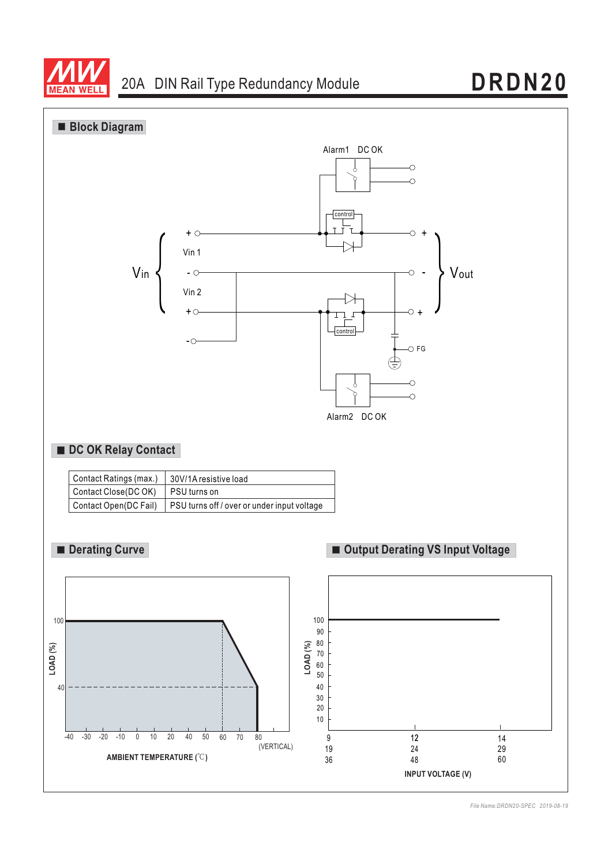



*File Name:DRDN20-SPEC 2019-08-19*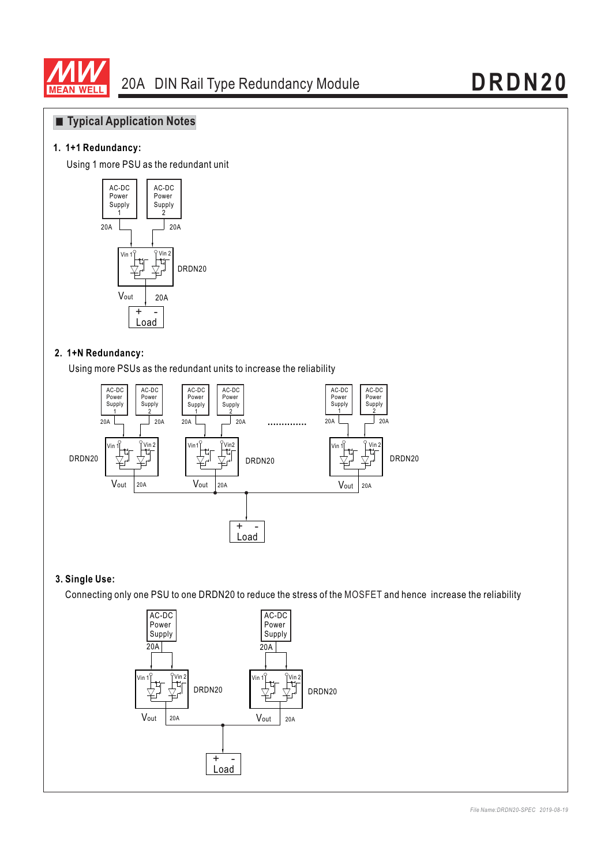

## **Typical Application Notes**

### **1. 1+1 Redundancy:**

Using 1 more PSU as the redundant unit



#### **2. 1+N Redundancy:**

Using more PSUs as the redundant units to increase the reliability



## **3. Single Use:**

Connecting only one PSU to one DRDN20 to reduce the stress of the MOSFET and hence increase the reliability